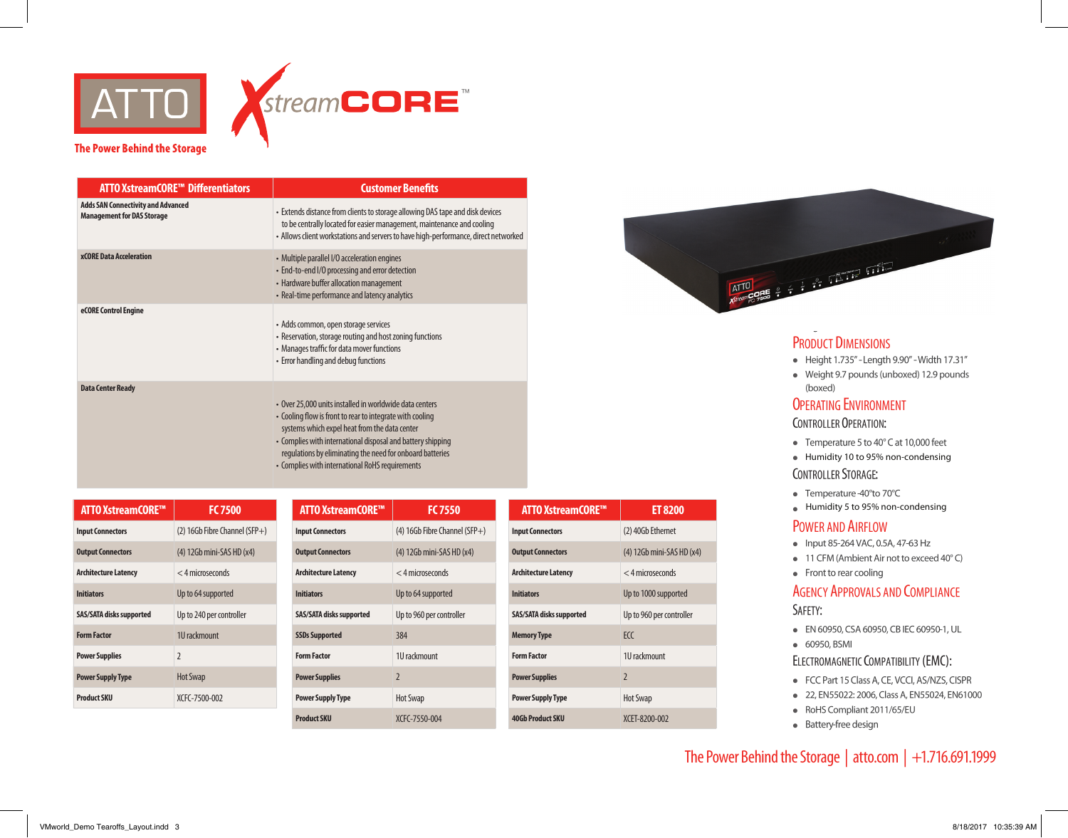

| ATTO XstreamCORE™ Differentiators                                              | <b>Customer Benefits</b>                                                                                                                                                                                                                                                                                                                             |
|--------------------------------------------------------------------------------|------------------------------------------------------------------------------------------------------------------------------------------------------------------------------------------------------------------------------------------------------------------------------------------------------------------------------------------------------|
| <b>Adds SAN Connectivity and Advanced</b><br><b>Management for DAS Storage</b> | • Extends distance from clients to storage allowing DAS tape and disk devices<br>to be centrally located for easier management, maintenance and cooling<br>• Allows client workstations and servers to have high-performance, direct networked                                                                                                       |
| <b>xCORE Data Acceleration</b>                                                 | • Multiple parallel I/O acceleration engines<br>• End-to-end I/O processing and error detection<br>• Hardware buffer allocation management<br>• Real-time performance and latency analytics                                                                                                                                                          |
| eCORE Control Engine                                                           | • Adds common, open storage services<br>• Reservation, storage routing and host zoning functions<br>• Manages traffic for data mover functions<br>• Error handling and debug functions                                                                                                                                                               |
| <b>Data Center Ready</b>                                                       | • Over 25,000 units installed in worldwide data centers<br>• Cooling flow is front to rear to integrate with cooling<br>systems which expel heat from the data center<br>• Complies with international disposal and battery shipping<br>regulations by eliminating the need for onboard batteries<br>• Complies with international RoHS requirements |

| <b>ATTO XstreamCORE™</b> | <b>FC7500</b>                       | ATTO XstreamCORE™           | <b>FC7550</b>                       | ATTO XstreamCORE™           | <b>ET 8200</b>                |
|--------------------------|-------------------------------------|-----------------------------|-------------------------------------|-----------------------------|-------------------------------|
| <b>Input Connectors</b>  | $(2)$ 16Gb Fibre Channel (SFP $+$ ) | <b>Input Connectors</b>     | $(4)$ 16Gb Fibre Channel (SFP $+$ ) | <b>Input Connectors</b>     | (2) 40Gb Ethernet             |
| Output Connectors        | $(4)$ 12Gb mini-SAS HD $(x4)$       | <b>Output Connectors</b>    | $(4)$ 12Gb mini-SAS HD $(x4)$       | <b>Output Connectors</b>    | $(4)$ 12Gb mini-SAS HD $(x4)$ |
| Architecture Latency     | $<$ 4 microseconds                  | <b>Architecture Latency</b> | $<$ 4 microseconds                  | <b>Architecture Latency</b> | $<$ 4 microseconds            |
| <b>Initiators</b>        | Up to 64 supported                  | <b>Initiators</b>           | Up to 64 supported                  | <b>Initiators</b>           | Up to 1000 supported          |
| SAS/SATA disks supported | Up to 240 per controller            | SAS/SATA disks supported    | Up to 960 per controller            | SAS/SATA disks supported    | Up to 960 per controller      |
| <b>Form Factor</b>       | 1U rackmount                        | <b>SSDs Supported</b>       | 384                                 | <b>Memory Type</b>          | ECC                           |
| Power Supplies           |                                     | <b>Form Factor</b>          | 1U rackmount                        | <b>Form Factor</b>          | 1U rackmount                  |
| Power Supply Type        | Hot Swap                            | <b>Power Supplies</b>       | $\overline{2}$                      | <b>Power Supplies</b>       | $\overline{2}$                |
| Product SKU              | XCFC-7500-002                       | <b>Power Supply Type</b>    | Hot Swap                            | <b>Power Supply Type</b>    | <b>Hot Swap</b>               |
|                          |                                     | <b>Product SKU</b>          | XCFC-7550-004                       | <b>40Gb Product SKU</b>     | XCET-8200-002                 |

۹



#### **PRODUCT DIMENSIONS**

- · Height 1.735" Length 9.90" Width 17.31"
- Weight 9.7 pounds (unboxed) 12.9 pounds (boxed)

#### **OPERATING ENVIRONMENT CONTROLLER OPERATION:**

- Temperature 5 to 40°C at 10,000 feet
- Humidity 10 to 95% non-condensing **CONTROLLER STORAGE:**
- $\bullet$  Temperature -40°to 70°C
- Humidity 5 to 95% non-condensing

#### **POWER AND AIRFLOW**

- Input 85-264 VAC, 0.5A, 47-63 Hz
- $\bullet$  11 CFM (Ambient Air not to exceed 40 $^{\circ}$  C)
- Front to rear cooling

#### **AGENCY APPROVALS AND COMPLIANCE** SAFETY:

- EN 60950, CSA 60950, CB IEC 60950-1, UL
- 60950, BSMI
- ELECTROMAGNETIC COMPATIBILITY (EMC):
- FCC Part 15 Class A, CE, VCCI, AS/NZS, CISPR
- 22, EN55022: 2006, Class A, EN55024, EN61000
- RoHS Compliant 2011/65/EU
- Battery-free design

### The Power Behind the Storage | atto.com | +1.716.691.1999